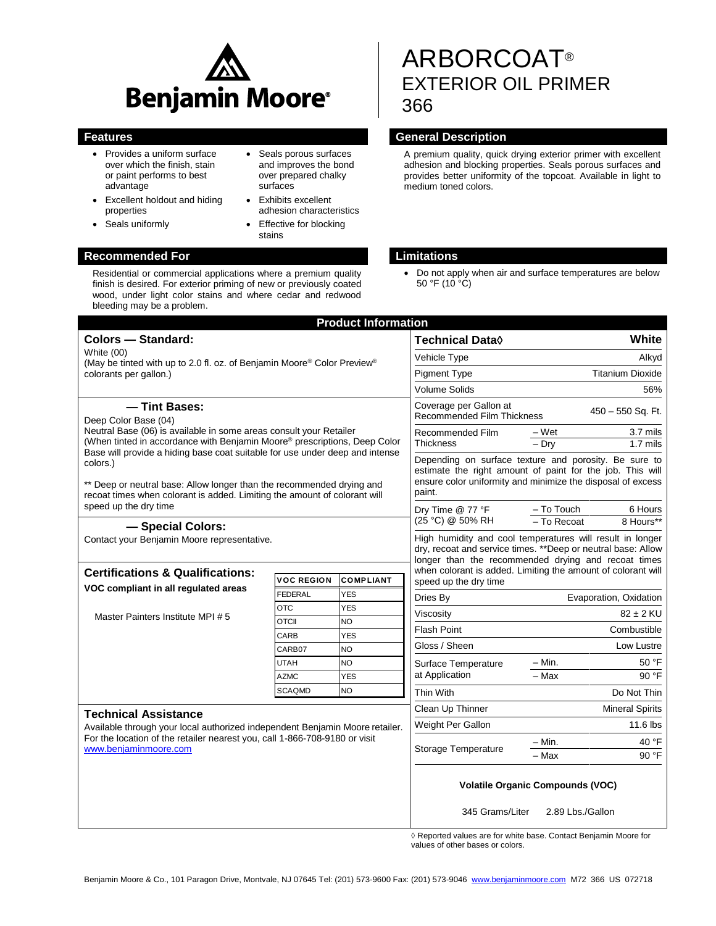

- Provides a uniform surface over which the finish, stain or paint performs to best advantage
- Excellent holdout and hiding properties
- Seals uniformly
- Seals porous surfaces and improves the bond over prepared chalky surfaces
- Exhibits excellent adhesion characteristics
- Effective for blocking stains

# **Recommended For Limitations**

Residential or commercial applications where a premium quality finish is desired. For exterior priming of new or previously coated wood, under light color stains and where cedar and redwood bleeding may be a problem.

# ARBORCOAT® EXTERIOR OIL PRIMER 366

### **Features General Description**

A premium quality, quick drying exterior primer with excellent adhesion and blocking properties. Seals porous surfaces and provides better uniformity of the topcoat. Available in light to medium toned colors.

 Do not apply when air and surface temperatures are below 50 °F (10 °C)

| <b>Product Information</b>                                                                                                                                                          |                   |                  |                                                                                                                                                                                                                                                   |                         |                |
|-------------------------------------------------------------------------------------------------------------------------------------------------------------------------------------|-------------------|------------------|---------------------------------------------------------------------------------------------------------------------------------------------------------------------------------------------------------------------------------------------------|-------------------------|----------------|
| <b>Colors - Standard:</b>                                                                                                                                                           |                   |                  | <b>Technical Data</b> ♦                                                                                                                                                                                                                           |                         | White          |
| <b>White (00)</b><br>(May be tinted with up to 2.0 fl. oz. of Benjamin Moore® Color Preview®<br>colorants per gallon.)                                                              |                   |                  | Vehicle Type                                                                                                                                                                                                                                      |                         | Alkyd          |
|                                                                                                                                                                                     |                   |                  | <b>Pigment Type</b>                                                                                                                                                                                                                               | <b>Titanium Dioxide</b> |                |
|                                                                                                                                                                                     |                   |                  | <b>Volume Solids</b>                                                                                                                                                                                                                              |                         | 56%            |
| - Tint Bases:<br>Deep Color Base (04)<br>Neutral Base (06) is available in some areas consult your Retailer                                                                         |                   |                  | Coverage per Gallon at<br>Recommended Film Thickness                                                                                                                                                                                              | 450 - 550 Sq. Ft.       |                |
|                                                                                                                                                                                     |                   |                  | Recommended Film<br><b>Thickness</b>                                                                                                                                                                                                              | – Wet                   | 3.7 mils       |
| (When tinted in accordance with Benjamin Moore® prescriptions, Deep Color<br>Base will provide a hiding base coat suitable for use under deep and intense                           |                   |                  |                                                                                                                                                                                                                                                   | $-$ Dry                 | $1.7$ mils     |
| colors.)                                                                                                                                                                            |                   |                  | Depending on surface texture and porosity. Be sure to<br>estimate the right amount of paint for the job. This will<br>ensure color uniformity and minimize the disposal of excess<br>paint.                                                       |                         |                |
| ** Deep or neutral base: Allow longer than the recommended drying and<br>recoat times when colorant is added. Limiting the amount of colorant will                                  |                   |                  |                                                                                                                                                                                                                                                   |                         |                |
| speed up the dry time                                                                                                                                                               |                   |                  | Dry Time @ 77 °F<br>(25 °C) @ 50% RH                                                                                                                                                                                                              | - To Touch              | 6 Hours        |
| - Special Colors:                                                                                                                                                                   |                   |                  |                                                                                                                                                                                                                                                   | - To Recoat             | 8 Hours**      |
| Contact your Benjamin Moore representative.<br><b>Certifications &amp; Qualifications:</b>                                                                                          |                   |                  | High humidity and cool temperatures will result in longer<br>dry, recoat and service times. ** Deep or neutral base: Allow<br>longer than the recommended drying and recoat times<br>when colorant is added. Limiting the amount of colorant will |                         |                |
| VOC compliant in all regulated areas                                                                                                                                                | <b>VOC REGION</b> | <b>COMPLIANT</b> | speed up the dry time                                                                                                                                                                                                                             |                         |                |
|                                                                                                                                                                                     | <b>FEDERAL</b>    | <b>YES</b>       | Dries By                                                                                                                                                                                                                                          | Evaporation, Oxidation  |                |
| Master Painters Institute MPI #5                                                                                                                                                    | <b>OTC</b>        | <b>YES</b>       | Viscosity                                                                                                                                                                                                                                         |                         | $82 \pm 2$ KU  |
|                                                                                                                                                                                     | <b>OTCII</b>      | NO.              | <b>Flash Point</b>                                                                                                                                                                                                                                |                         | Combustible    |
|                                                                                                                                                                                     | CARB<br>CARB07    | <b>YES</b><br>NO | Gloss / Sheen                                                                                                                                                                                                                                     |                         | Low Lustre     |
|                                                                                                                                                                                     | <b>UTAH</b>       | <b>NO</b>        | Surface Temperature<br>at Application<br>Thin With                                                                                                                                                                                                | – Min.                  | 50 °F          |
|                                                                                                                                                                                     | <b>AZMC</b>       | <b>YES</b>       |                                                                                                                                                                                                                                                   | $-$ Max                 | 90 °F          |
|                                                                                                                                                                                     | <b>SCAQMD</b>     | <b>NO</b>        |                                                                                                                                                                                                                                                   |                         | Do Not Thin    |
|                                                                                                                                                                                     |                   |                  | Clean Up Thinner                                                                                                                                                                                                                                  | <b>Mineral Spirits</b>  |                |
| <b>Technical Assistance</b>                                                                                                                                                         |                   |                  | Weight Per Gallon                                                                                                                                                                                                                                 |                         | 11.6 lbs       |
| Available through your local authorized independent Benjamin Moore retailer.<br>For the location of the retailer nearest you, call 1-866-708-9180 or visit<br>www.beniaminmoore.com |                   |                  |                                                                                                                                                                                                                                                   |                         |                |
|                                                                                                                                                                                     |                   |                  | – Min.<br>Storage Temperature<br>$-$ Max                                                                                                                                                                                                          |                         | 40 °F<br>90 °F |
|                                                                                                                                                                                     |                   |                  |                                                                                                                                                                                                                                                   |                         |                |
|                                                                                                                                                                                     |                   |                  | <b>Volatile Organic Compounds (VOC)</b>                                                                                                                                                                                                           |                         |                |
|                                                                                                                                                                                     |                   |                  | 345 Grams/Liter<br>2.89 Lbs./Gallon                                                                                                                                                                                                               |                         |                |

 ◊ Reported values are for white base. Contact Benjamin Moore for values of other bases or colors.